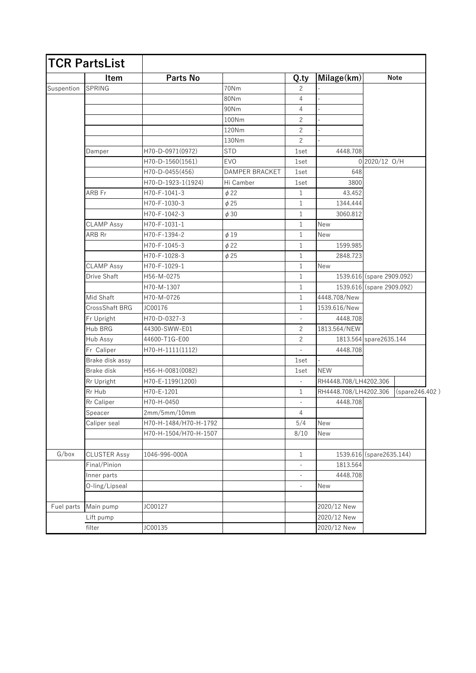|                     | <b>TCR PartsList</b> |                       |                |                          |                       |                           |                |
|---------------------|----------------------|-----------------------|----------------|--------------------------|-----------------------|---------------------------|----------------|
|                     | <b>Item</b>          | Parts No              |                | Q.ty                     | Milage(km)            | <b>Note</b>               |                |
| Suspention          | <b>SPRING</b>        |                       | 70Nm           | 2                        |                       |                           |                |
|                     |                      |                       | 80Nm           | 4                        |                       |                           |                |
|                     |                      |                       | 90Nm           | 4                        |                       |                           |                |
|                     |                      |                       | 100Nm          | $\overline{c}$           |                       |                           |                |
|                     |                      |                       | 120Nm          | 2                        |                       |                           |                |
|                     |                      |                       | 130Nm          | $\overline{c}$           |                       |                           |                |
|                     | Damper               | H70-D-0971(0972)      | <b>STD</b>     | 1set                     | 4448.708              |                           |                |
|                     |                      | H70-D-1560(1561)      | <b>EVO</b>     | 1set                     |                       | 0 2020/12 O/H             |                |
|                     |                      | H70-D-0455(456)       | DAMPER BRACKET | 1set                     | 648                   |                           |                |
|                     |                      | H70-D-1923-1(1924)    | Hi Camber      | 1set                     | 3800                  |                           |                |
|                     | ARB Fr               | H70-F-1041-3          | $\phi$ 22      | 1                        | 43.452                |                           |                |
|                     |                      | H70-F-1030-3          | $\phi$ 25      | 1                        | 1344.444              |                           |                |
|                     |                      | H70-F-1042-3          | $\phi$ 30      | 1                        | 3060.812              |                           |                |
|                     | <b>CLAMP Assy</b>    | H70-F-1031-1          |                | $\mathbf 1$              | <b>New</b>            |                           |                |
|                     | ARB Rr               | H70-F-1394-2          | $\phi$ 19      | $\mathbf 1$              | New                   |                           |                |
|                     |                      | H70-F-1045-3          | $\phi$ 22      | 1                        | 1599.985              |                           |                |
|                     |                      | H70-F-1028-3          | $\phi$ 25      | $\mathbf 1$              | 2848.723              |                           |                |
|                     | <b>CLAMP Assy</b>    | H70-F-1029-1          |                | $\mathbf 1$              | <b>New</b>            |                           |                |
|                     | Drive Shaft          | H56-M-0275            |                | 1                        |                       | 1539.616 (spare 2909.092) |                |
|                     |                      | H70-M-1307            |                | $\mathbf{1}$             |                       | 1539.616 (spare 2909.092) |                |
|                     | Mid Shaft            | H70-M-0726            |                | $\mathbf{1}$             | 4448.708/New          |                           |                |
|                     | CrossShaft BRG       | JC00176               |                | 1                        | 1539.616/New          |                           |                |
|                     | Fr Upright           | H70-D-0327-3          |                |                          | 4448.708              |                           |                |
|                     | Hub BRG              | 44300-SWW-E01         |                | $\overline{c}$           | 1813.564/NEW          |                           |                |
|                     | Hub Assy             | 44600-T1G-E00         |                | $\overline{c}$           |                       | 1813.564 spare2635.144    |                |
|                     | Fr Caliper           | H70-H-1111(1112)      |                |                          | 4448.708              |                           |                |
|                     | Brake disk assy      |                       |                | 1set                     |                       |                           |                |
|                     | Brake disk           | H56-H-0081(0082)      |                | 1set                     | <b>NEW</b>            |                           |                |
|                     | Rr Upright           | H70-E-1199(1200)      |                | $\overline{\phantom{a}}$ | RH4448.708/LH4202.306 |                           |                |
|                     | Rr Hub               | H70-E-1201            |                | 1                        | RH4448.708/LH4202.306 |                           | (spare246.402) |
|                     | Rr Caliper           | H70-H-0450            |                |                          | 4448.708              |                           |                |
|                     | Speacer              | 2mm/5mm/10mm          |                | 4                        |                       |                           |                |
|                     | Caliper seal         | H70-H-1484/H70-H-1792 |                | 5/4                      | New                   |                           |                |
|                     |                      | H70-H-1504/H70-H-1507 |                | 8/10                     | New                   |                           |                |
|                     |                      |                       |                |                          |                       |                           |                |
| G/box<br>Fuel parts | <b>CLUSTER Assy</b>  | 1046-996-000A         |                | $\mathbf{1}$             |                       | 1539.616 (spare2635.144)  |                |
|                     | Final/Pinion         |                       |                |                          | 1813.564              |                           |                |
|                     | Inner parts          |                       |                |                          | 4448.708              |                           |                |
|                     | O-ling/Lipseal       |                       |                | $\Box$                   | New                   |                           |                |
|                     |                      |                       |                |                          |                       |                           |                |
|                     | Main pump            | JC00127               |                |                          | 2020/12 New           |                           |                |
|                     | Lift pump            |                       |                |                          | 2020/12 New           |                           |                |
|                     |                      |                       |                |                          |                       |                           |                |
|                     | filter               | JC00135               |                |                          | 2020/12 New           |                           |                |